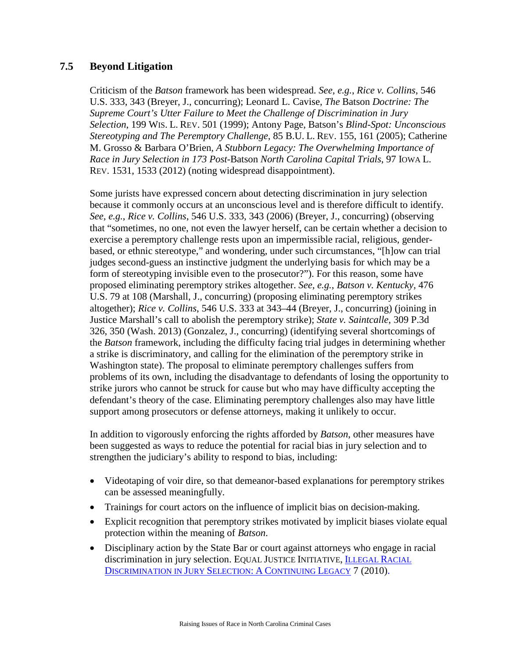## **7.5 Beyond Litigation**

Criticism of the *Batson* framework has been widespread. *See, e.g.*, *Rice v. Collins*, 546 U.S. 333, 343 (Breyer, J., concurring); Leonard L. Cavise, *The* Batson *Doctrine: The Supreme Court's Utter Failure to Meet the Challenge of Discrimination in Jury Selection*, 199 WIS. L. REV. 501 (1999); Antony Page, Batson's *Blind-Spot: Unconscious Stereotyping and The Peremptory Challenge*, 85 B.U. L. REV. 155, 161 (2005); Catherine M. Grosso & Barbara O'Brien*, A Stubborn Legacy: The Overwhelming Importance of Race in Jury Selection in 173 Post-*Batson *North Carolina Capital Trials*, 97 IOWA L. REV. 1531, 1533 (2012) (noting widespread disappointment).

Some jurists have expressed concern about detecting discrimination in jury selection because it commonly occurs at an unconscious level and is therefore difficult to identify. *See, e.g.*, *Rice v. Collins*, 546 U.S. 333, 343 (2006) (Breyer, J., concurring) (observing that "sometimes, no one, not even the lawyer herself, can be certain whether a decision to exercise a peremptory challenge rests upon an impermissible racial, religious, genderbased, or ethnic stereotype," and wondering, under such circumstances, "[h]ow can trial judges second-guess an instinctive judgment the underlying basis for which may be a form of stereotyping invisible even to the prosecutor?"). For this reason, some have proposed eliminating peremptory strikes altogether. *See, e.g.*, *Batson v. Kentucky,* 476 U.S. 79 at 108 (Marshall, J., concurring) (proposing eliminating peremptory strikes altogether); *Rice v. Collins*, 546 U.S. 333 at 343–44 (Breyer, J., concurring) (joining in Justice Marshall's call to abolish the peremptory strike); *State v. Saintcalle*, 309 P.3d 326, 350 (Wash. 2013) (Gonzalez, J., concurring) (identifying several shortcomings of the *Batson* framework, including the difficulty facing trial judges in determining whether a strike is discriminatory, and calling for the elimination of the peremptory strike in Washington state). The proposal to eliminate peremptory challenges suffers from problems of its own, including the disadvantage to defendants of losing the opportunity to strike jurors who cannot be struck for cause but who may have difficulty accepting the defendant's theory of the case. Eliminating peremptory challenges also may have little support among prosecutors or defense attorneys, making it unlikely to occur.

In addition to vigorously enforcing the rights afforded by *Batson*, other measures have been suggested as ways to reduce the potential for racial bias in jury selection and to strengthen the judiciary's ability to respond to bias, including:

- Videotaping of voir dire, so that demeanor-based explanations for peremptory strikes can be assessed meaningfully.
- Trainings for court actors on the influence of implicit bias on decision-making.
- Explicit recognition that peremptory strikes motivated by implicit biases violate equal protection within the meaning of *Batson*.
- Disciplinary action by the State Bar or court against attorneys who engage in racial discrimination in jury selection. EQUAL JUSTICE INITIATIVE, [ILLEGAL RACIAL](http://www.eji.org/files/EJI%20Race%20and%20Jury%20Report.pdf)  [DISCRIMINATION IN JURY SELECTION:](http://www.eji.org/files/EJI%20Race%20and%20Jury%20Report.pdf) A CONTINUING LEGACY 7 (2010).